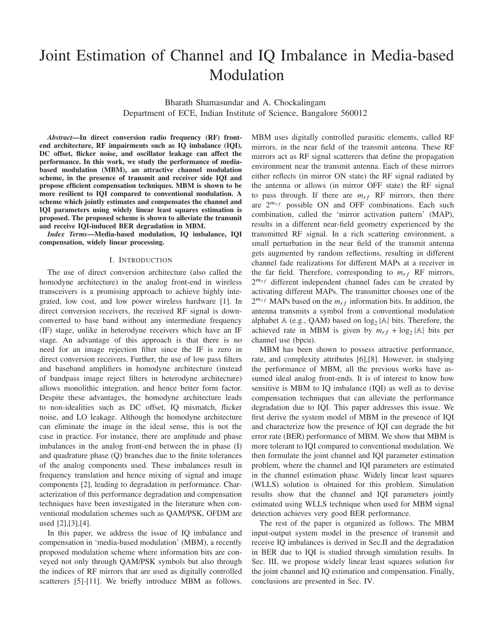# Joint Estimation of Channel and IQ Imbalance in Media-based Modulation

Bharath Shamasundar and A. Chockalingam Department of ECE, Indian Institute of Science, Bangalore 560012

*Abstract*—In direct conversion radio frequency (RF) frontend architecture, RF impairments such as IQ imbalance (IQI), DC offset, flicker noise, and oscillator leakage can affect the performance. In this work, we study the performance of mediabased modulation (MBM), an attractive channel modulation scheme, in the presence of transmit and receiver side IQI and propose efficient compensation techniques. MBM is shown to be more resilient to IQI compared to conventional modulation. A scheme which jointly estimates and compensates the channel and IQI parameters using widely linear least squares estimation is proposed. The proposed scheme is shown to alleviate the transmit and receive IQI-induced BER degradation in MBM.

*Index Terms*—Media-based modulation, IQ imbalance, IQI compensation, widely linear processing.

### I. INTRODUCTION

The use of direct conversion architecture (also called the homodyne architecture) in the analog front-end in wireless transceivers is a promising approach to achieve highly integrated, low cost, and low power wireless hardware [1]. In direct conversion receivers, the received RF signal is downconverted to base band without any intermediate frequency (IF) stage, unlike in heterodyne receivers which have an IF stage. An advantage of this approach is that there is no need for an image rejection filter since the IF is zero in direct conversion receivers. Further, the use of low pass filters and baseband amplifiers in homodyne architecture (instead of bandpass image reject filters in heterodyne architecture) allows monolithic integration, and hence better form factor. Despite these advantages, the homodyne architecture leads to non-idealities such as DC offset, IQ mismatch, flicker noise, and LO leakage. Although the homodyne architecture can eliminate the image in the ideal sense, this is not the case in practice. For instance, there are amplitude and phase imbalances in the analog front-end between the in phase (I) and quadrature phase (Q) branches due to the finite tolerances of the analog components used. These imbalances result in frequency translation and hence mixing of signal and image components [2], leading to degradation in performance. Characterization of this performance degradation and compensation techniques have been investigated in the literature when conventional modulation schemes such as QAM/PSK, OFDM are used [2],[3],[4].

In this paper, we address the issue of IQ imbalance and compensation in 'media-based modulation' (MBM), a recently proposed modulation scheme where information bits are conveyed not only through QAM/PSK symbols but also through the indices of RF mirrors that are used as digitally controlled scatterers [5]-[11]. We briefly introduce MBM as follows. MBM uses digitally controlled parasitic elements, called RF mirrors, in the near field of the transmit antenna. These RF mirrors act as RF signal scatterers that define the propagation environment near the transmit antenna. Each of these mirrors either reflects (in mirror ON state) the RF signal radiated by the antenna or allows (in mirror OFF state) the RF signal to pass through. If there are  $m_{rf}$  RF mirrors, then there are  $2^{m_{rf}}$  possible ON and OFF combinations. Each such combination, called the 'mirror activation pattern' (MAP), results in a different near-field geometry experienced by the transmitted RF signal. In a rich scattering environment, a small perturbation in the near field of the transmit antenna gets augmented by random reflections, resulting in different channel fade realizations for different MAPs at a receiver in the far field. Therefore, corresponding to  $m_{rf}$  RF mirrors,  $2^{m_{rf}}$  different independent channel fades can be created by activating different MAPs. The transmitter chooses one of the  $2^{m_{rf}}$  MAPs based on the  $m_{rf}$  information bits. In addition, the antenna transmits a symbol from a conventional modulation alphabet  $A$  (e.g., QAM) based on  $log_2 |A|$  bits. Therefore, the achieved rate in MBM is given by  $m_{rf} + \log_2 |\mathbb{A}|$  bits per channel use (bpcu).

MBM has been shown to possess attractive performance, rate, and complexity attributes [6],[8]. However, in studying the performance of MBM, all the previous works have assumed ideal analog front-ends. It is of interest to know how sensitive is MBM to IQ imbalance (IQI) as well as to devise compensation techniques that can alleviate the performance degradation due to IQI. This paper addresses this issue. We first derive the system model of MBM in the presence of IQI and characterize how the presence of IQI can degrade the bit error rate (BER) performance of MBM. We show that MBM is more tolerant to IQI compared to conventional modulation. We then formulate the joint channel and IQI parameter estimation problem, where the channel and IQI parameters are estimated in the channel estimation phase. Widely linear least squares (WLLS) solution is obtained for this problem. Simulation results show that the channel and IQI parameters jointly estimated using WLLS technique when used for MBM signal detection achieves very good BER performance.

The rest of the paper is organized as follows. The MBM input-output system model in the presence of transmit and receive IQ imbalances is derived in Sec.II and the degradation in BER due to IQI is studied through simulation results. In Sec. III, we propose widely linear least squares solution for the joint channel and IQ estimation and compensation. Finally, conclusions are presented in Sec. IV.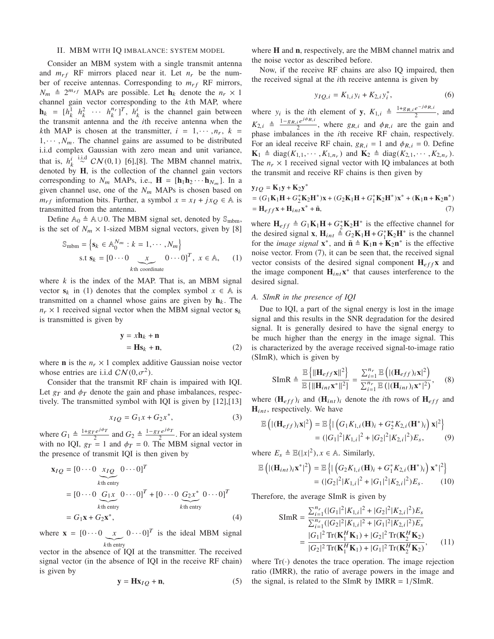## II. MBM WITH IQ IMBALANCE: SYSTEM MODEL

Consider an MBM system with a single transmit antenna and  $m_{rf}$  RF mirrors placed near it. Let  $n_r$  be the number of receive antennas. Corresponding to  $m_{rf}$  RF mirrors,  $N_m \triangleq 2^{m_{rf}}$  MAPs are possible. Let  $\mathbf{h}_k$  denote the  $n_r \times 1$ channel gain vector corresponding to the *k*th MAP, where  $\mathbf{h}_k = [h_k^1 \quad h_k^2 \quad \cdots \quad h_k^{n_r}]^T$ ,  $\dot{h}_k^i$  is the channel gain between the transmit antenna and the *i*th receive antenna when the *k*th MAP is chosen at the transmitter,  $i = 1, \dots, n_r$ ,  $k =$  $1, \dots, N_m$ . The channel gains are assumed to be distributed i.i.d complex Gaussian with zero mean and unit variance, that is,  $h_k^i \stackrel{\text{i.i.d}}{\sim} CN(0,1)$  [6],[8]. The MBM channel matrix, denoted by H, is the collection of the channel gain vectors corresponding to  $N_m$  MAPs, i.e.,  $\mathbf{H} = [\mathbf{h}_1 \mathbf{h}_2 \cdots \mathbf{h}_{N_m}]$ . In a given channel use, one of the  $N_m$  MAPs is chosen based on *m*<sub>rf</sub> information bits. Further, a symbol  $x = x_I + jx_O \in A$  is transmitted from the antenna.

Define  $A_0$  ≜  $A \cup 0$ . The MBM signal set, denoted by  $\mathcal{S}_{\text{mbm}}$ , is the set of  $N_m \times 1$ -sized MBM signal vectors, given by [8]

$$
\mathbb{S}_{\text{mbm}} = \left\{ \mathbf{s}_k \in \mathbb{A}_0^{N_m} : k = 1, \cdots, N_m \right\}
$$
  
s.t  $\mathbf{s}_k = [0 \cdots 0 \underbrace{x}_{k \text{th coordinate}} 0 \cdots 0]^T, x \in \mathbb{A}, \quad (1)$ 

where  $k$  is the index of the MAP. That is, an MBM signal vector  $s_k$  in (1) denotes that the complex symbol  $x \in A$  is transmitted on a channel whose gains are given by  $h_k$ . The  $n_r \times 1$  received signal vector when the MBM signal vector  $s_k$ is transmitted is given by

$$
\mathbf{y} = x\mathbf{h}_k + \mathbf{n}
$$
  
=  $\mathbf{H}\mathbf{s}_k + \mathbf{n}$ , (2)

where **n** is the  $n_r \times 1$  complex additive Gaussian noise vector whose entries are i.i.d  $CN(0, \sigma^2)$ .

Consider that the transmit RF chain is impaired with IQI. Let  $g_T$  and  $\phi_T$  denote the gain and phase imbalances, respectively. The transmitted symbol with IQI is given by [12],[13]

$$
x_{IQ} = G_1 x + G_2 x^*,
$$
 (3)

where  $G_1 \triangleq \frac{1+g_T e^{j\phi_T}}{2}$  $rac{e^{j\phi_T}}{2}$  and  $G_2 \triangleq \frac{1-g_T e^{j\phi_T}}{2}$  $\frac{1}{2}$ . For an ideal system with no IQI,  $g_T = 1$  and  $\phi_T = 0$ . The MBM signal vector in the presence of transmit IQI is then given by

$$
\mathbf{x}_{IQ} = [0 \cdots 0 \underbrace{x_{IQ}}_{k\text{th entry}} 0 \cdots 0]^T
$$
  
\n
$$
= [0 \cdots 0 \underbrace{G_1 x}_{k\text{th entry}} 0 \cdots 0]^T + [0 \cdots 0 \underbrace{G_2 x^*}_{k\text{th entry}} 0 \cdots 0]^T
$$
  
\n
$$
= G_1 \mathbf{x} + G_2 \mathbf{x}^*,
$$
 (4)

where  $\mathbf{x} = [0 \cdots 0 \underbrace{x}_{k\text{th entry}} 0 \cdots 0]^T$  is the ideal MBM signal kth entry

vector in the absence of IQI at the transmitter. The received signal vector (in the absence of IQI in the receive RF chain) is given by

$$
y = Hx_{IQ} + n,
$$
 (5)

where **H** and **n**, respectively, are the MBM channel matrix and the noise vector as described before.

Now, if the receive RF chains are also IQ impaired, then the received signal at the *i*th receive antenna is given by

$$
y_{IQ,i} = K_{1,i}y_i + K_{2,i}y_i^*,
$$
 (6)

where  $y_i$  is the *i*th element of **y**,  $K_{1,i} \triangleq \frac{1+g_{R,i}e^{-j\phi_{R,i}}}{2}$  $\frac{e^{i}+i\pi i}{2}$ , and  $K_{2,i} \triangleq \frac{1-g_{R,i}e^{j\phi_{R,i}}}{2}$  $\frac{i e^{i \epsilon T R} \cdot R_i}{2}$ , where  $g_{R,i}$  and  $\phi_{R,i}$  are the gain and phase imbalances in the *i*th receive RF chain, respectively. For an ideal receive RF chain,  $g_{R,i} = 1$  and  $\phi_{R,i} = 0$ . Define  $\mathbf{K}_1 \triangleq \text{diag}(K_{1,1},\cdots,K_{1,n_r})$  and  $\mathbf{K}_2 \triangleq \text{diag}(K_{2,1},\cdots,K_{2,n_r}).$ The  $n_r \times 1$  received signal vector with IQ imbalances at both the transmit and receive RF chains is then given by

$$
y_{IQ} = K_1 y + K_2 y^*
$$
  
=  $(G_1 K_1 H + G_2^* K_2 H^*) x + (G_2 K_1 H + G_1^* K_2 H^*) x^* + (K_1 n + K_2 n^*)$   
=  $H_{eff} x + H_{int} x^* + \tilde{n},$  (7)

where  $H_{eff} \triangleq G_1 \mathbf{K}_1 \mathbf{H} + G_2^* \mathbf{K}_2 \mathbf{H}^*$  is the effective channel for the desired signal **x**,  $\mathbf{H}_{int} \triangleq G_2 \mathbf{K}_1 \mathbf{H} + G_1^* \mathbf{K}_2 \mathbf{H}^*$  is the channel for the *image signal*  $\mathbf{x}^*$ , and  $\tilde{\mathbf{n}} \triangleq \mathbf{K}_1 \mathbf{n} + \mathbf{K}_2 \mathbf{n}^*$  is the effective noise vector. From (7), it can be seen that, the received signal vector consists of the desired signal component  $H_{eff}x$  and the image component  $H_{int}x^*$  that causes interference to the desired signal.

# *A. SImR in the presence of IQI*

∗

Due to IQI, a part of the signal energy is lost in the image signal and this results in the SNR degradation for the desired signal. It is generally desired to have the signal energy to be much higher than the energy in the image signal. This is characterized by the average received signal-to-image ratio (SImR), which is given by

$$
\text{SImR} \triangleq \frac{\mathbb{E}\left\{ \|\mathbf{H}_{eff}\mathbf{x}\|^2 \right\}}{\mathbb{E}\left\{ \|\mathbf{H}_{int}\mathbf{x}^*\|^2 \right\}} = \frac{\sum_{i=1}^{n_r} \mathbb{E}\left( |(\mathbf{H}_{eff})_i\mathbf{x}|^2 \right)}{\sum_{i=1}^{n_r} \mathbb{E}\left( |(\mathbf{H}_{int})_i\mathbf{x}^*\|^2 \right)},\tag{8}
$$

where  $(H_{eff})_i$  and  $(H_{int})_i$  denote the *i*th rows of  $H_{eff}$  and  $H_{int}$ , respectively. We have

$$
\mathbb{E}\left(\left|\left(\mathbf{H}_{eff}\right)_{i}\mathbf{x}\right|^{2}\right) = \mathbb{E}\left\{\left|\left(G_{1}K_{1,i}(\mathbf{H})_{i} + G_{2}^{*}K_{2,i}(\mathbf{H}^{*})_{i}\right)\mathbf{x}\right|^{2}\right\}
$$

$$
= (|G_{1}|^{2}|K_{1,i}|^{2} + |G_{2}|^{2}|K_{2,i}|^{2})E_{s}, \qquad (9)
$$

where  $E_s \triangleq \mathbb{E}(|x|^2), x \in \mathbb{A}$ . Similarly,

$$
\mathbb{E}\left(\left|\left(\mathbf{H}_{int}\right)_{i}\mathbf{x}^{*}\right|^{2}\right) = \mathbb{E}\left\{\left|\left(G_{2}K_{1,i}(\mathbf{H})_{i} + G_{1}^{*}K_{2,i}(\mathbf{H}^{*})_{i}\right)\mathbf{x}^{*}\right|^{2}\right\}
$$

$$
= (\left|G_{2}\right|^{2}\left|K_{1,i}\right|^{2} + \left|G_{1}\right|^{2}\left|K_{2,i}\right|^{2})E_{s}.
$$
 (10)

Therefore, the average SImR is given by

$$
\begin{split} \text{SImR} &= \frac{\sum_{i=1}^{n_r} (|G_1|^2 |K_{1,i}|^2 + |G_2|^2 |K_{2,i}|^2) E_s}{\sum_{i=1}^{n_r} (|G_2|^2 |K_{1,i}|^2 + |G_1|^2 |K_{2,i}|^2) E_s} \\ &= \frac{|G_1|^2 \operatorname{Tr}(\mathbf{K}_1^H \mathbf{K}_1) + |G_2|^2 \operatorname{Tr}(\mathbf{K}_2^H \mathbf{K}_2)}{|G_2|^2 \operatorname{Tr}(\mathbf{K}_1^H \mathbf{K}_1) + |G_1|^2 \operatorname{Tr}(\mathbf{K}_2^H \mathbf{K}_2)}, \end{split} \tag{11}
$$

where  $Tr(\cdot)$  denotes the trace operation. The image rejection ratio (IMRR), the ratio of average powers in the image and the signal, is related to the SImR by IMRR =  $1/SImR$ .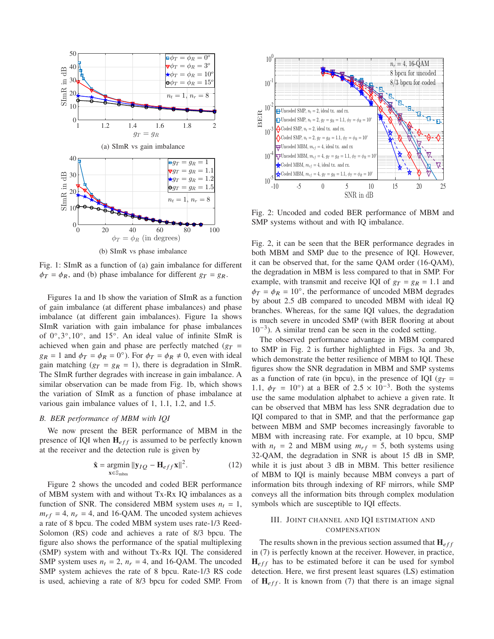

Fig. 1: SImR as a function of (a) gain imbalance for different  $\phi_T = \phi_R$ , and (b) phase imbalance for different  $g_T = g_R$ .

Figures 1a and 1b show the variation of SImR as a function of gain imbalance (at different phase imbalances) and phase imbalance (at different gain imbalances). Figure 1a shows SImR variation with gain imbalance for phase imbalances of 0°,3°,10°, and 15°. An ideal value of infinite SImR is achieved when gain and phase are perfectly matched ( $g_T$  =  $g_R = 1$  and  $\phi_T = \phi_R = 0^\circ$ ). For  $\phi_T = \phi_R \neq 0$ , even with ideal gain matching ( $g_T = g_R = 1$ ), there is degradation in SImR. The SImR further degrades with increase in gain imbalance. A similar observation can be made from Fig. 1b, which shows the variation of SImR as a function of phase imbalance at various gain imbalance values of 1, 1.1, 1.2, and 1.5.

## *B. BER performance of MBM with IQI*

We now present the BER performance of MBM in the presence of IQI when  $H_{eff}$  is assumed to be perfectly known at the receiver and the detection rule is given by

$$
\hat{\mathbf{x}} = \underset{\mathbf{x} \in \mathbb{S}_{\text{mbm}}}{\text{argmin}} \|\mathbf{y}_{IQ} - \mathbf{H}_{eff}\mathbf{x}\|^2. \tag{12}
$$

Figure 2 shows the uncoded and coded BER performance of MBM system with and without Tx-Rx IQ imbalances as a function of SNR. The considered MBM system uses  $n_t = 1$ ,  $m_{rf} = 4$ ,  $n_r = 4$ , and 16-QAM. The uncoded system achieves a rate of 8 bpcu. The coded MBM system uses rate-1/3 Reed-Solomon (RS) code and achieves a rate of 8/3 bpcu. The figure also shows the performance of the spatial multiplexing (SMP) system with and without Tx-Rx IQI. The considered SMP system uses  $n_t = 2$ ,  $n_r = 4$ , and 16-QAM. The uncoded SMP system achieves the rate of 8 bpcu. Rate-1/3 RS code is used, achieving a rate of 8/3 bpcu for coded SMP. From



Fig. 2: Uncoded and coded BER performance of MBM and SMP systems without and with IQ imbalance.

Fig. 2, it can be seen that the BER performance degrades in both MBM and SMP due to the presence of IQI. However, it can be observed that, for the same QAM order (16-QAM), the degradation in MBM is less compared to that in SMP. For example, with transmit and receive IQI of  $g_T = g_R = 1.1$  and  $\phi_T = \phi_R = 10^\circ$ , the performance of uncoded MBM degrades by about 2.5 dB compared to uncoded MBM with ideal IQ branches. Whereas, for the same IQI values, the degradation is much severe in uncoded SMP (with BER flooring at about 10−<sup>3</sup> ). A similar trend can be seen in the coded setting.

The observed performance advantage in MBM compared to SMP in Fig. 2 is further highlighted in Figs. 3a and 3b, which demonstrate the better resilience of MBM to IQI. These figures show the SNR degradation in MBM and SMP systems as a function of rate (in bpcu), in the presence of IQI ( $g_T$  = 1.1,  $\phi_T = 10^{\circ}$ ) at a BER of 2.5 × 10<sup>-3</sup>. Both the systems use the same modulation alphabet to achieve a given rate. It can be observed that MBM has less SNR degradation due to IQI compared to that in SMP, and that the performance gap between MBM and SMP becomes increasingly favorable to MBM with increasing rate. For example, at 10 bpcu, SMP with  $n_t = 2$  and MBM using  $m_{rf} = 5$ , both systems using 32-QAM, the degradation in SNR is about 15 dB in SMP, while it is just about 3 dB in MBM. This better resilience of MBM to IQI is mainly because MBM conveys a part of information bits through indexing of RF mirrors, while SMP conveys all the information bits through complex modulation symbols which are susceptible to IQI effects.

## III. JOINT CHANNEL AND IQI ESTIMATION AND **COMPENSATION**

The results shown in the previous section assumed that  $\mathbf{H}_{eff}$ in (7) is perfectly known at the receiver. However, in practice,  $H_{eff}$  has to be estimated before it can be used for symbol detection. Here, we first present least squares (LS) estimation of  $H_{eff}$ . It is known from (7) that there is an image signal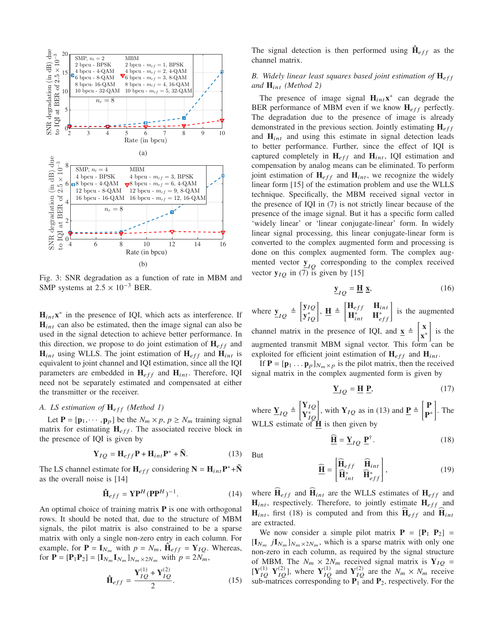

Fig. 3: SNR degradation as a function of rate in MBM and SMP systems at  $2.5 \times 10^{-3}$  BER.

 $H_{int}x^*$  in the presence of IQI, which acts as interference. If  $H_{int}$  can also be estimated, then the image signal can also be used in the signal detection to achieve better performance. In this direction, we propose to do joint estimation of  $H_{eff}$  and  $H_{int}$  using WLLS. The joint estimation of  $H_{eff}$  and  $H_{int}$  is equivalent to joint channel and IQI estimation, since all the IQI parameters are embedded in  $H_{eff}$  and  $H_{int}$ . Therefore, IQI need not be separately estimated and compensated at either the transmitter or the receiver.

# *A. LS estimation of*  $H_{eff}$  *(Method 1)*

Let  $P = [p_1, \dots, p_p]$  be the  $N_m \times p$ ,  $p \ge N_m$  training signal matrix for estimating  $H_{eff}$ . The associated receive block in the presence of IQI is given by

$$
\mathbf{Y}_{IQ} = \mathbf{H}_{eff} \mathbf{P} + \mathbf{H}_{int} \mathbf{P}^* + \tilde{\mathbf{N}}.
$$
 (13)

The LS channel estimate for  $H_{eff}$  considering  $N = H_{int}P^* + \tilde{N}$ as the overall noise is [14]

$$
\hat{\mathbf{H}}_{eff} = \mathbf{Y} \mathbf{P}^H (\mathbf{P} \mathbf{P}^H)^{-1}.
$$
 (14)

An optimal choice of training matrix  $P$  is one with orthogonal rows. It should be noted that, due to the structure of MBM signals, the pilot matrix is also constrained to be a sparse matrix with only a single non-zero entry in each column. For example, for  $\mathbf{P} = \mathbf{I}_{N_m}$  with  $p = N_m$ ,  $\hat{\mathbf{H}}_{eff} = \mathbf{Y}_{IQ}$ . Whereas, for  $P = [P_1P_2] = [I_{N_m}I_{N_m}]_{N_m \times 2N_m}$  with  $p = 2N_m$ ,

$$
\hat{\mathbf{H}}_{eff} = \frac{\mathbf{Y}_{IQ}^{(1)} + \mathbf{Y}_{IQ}^{(2)}}{2}.
$$
 (15)

The signal detection is then performed using  $\hat{\mathbf{H}}_{eff}$  as the channel matrix.

# *B. Widely linear least squares based joint estimation of*  $\mathbf{H}_{eff}$ *and* Hint *(Method 2)*

The presence of image signal  $H_{int}x^*$  can degrade the BER performance of MBM even if we know  $H_{eff}$  perfectly. The degradation due to the presence of image is already demonstrated in the previous section. Jointly estimating  $H_{eff}$ and  $H_{int}$  and using this estimate in signal detection leads to better performance. Further, since the effect of IQI is captured completely in  $H_{eff}$  and  $H_{int}$ , IQI estimation and compensation by analog means can be eliminated. To perform joint estimation of  $H_{eff}$  and  $H_{int}$ , we recognize the widely linear form [15] of the estimation problem and use the WLLS technique. Specifically, the MBM received signal vector in the presence of IQI in (7) is not strictly linear because of the presence of the image signal. But it has a specific form called 'widely linear' or 'linear conjugate-linear' form. In widely linear signal processing, this linear conjugate-linear form is converted to the complex augmented form and processing is done on this complex augmented form. The complex augmented vector  $\underline{y}_{IQ}$  corresponding to the complex received vector  $y_{IQ}$  in (7) is given by [15]

$$
\underline{\mathbf{y}}_{IQ} = \underline{\mathbf{H}} \underline{\mathbf{x}},\tag{16}
$$

where  $\underline{y}_{IQ} \triangleq \begin{bmatrix} y_{IQ} \\ y_{IQ}^* \end{bmatrix}$  $\left[\mathbf{y}_{IQ}^{y}_{IQ}\right], \mathbf{\underline{H}} \triangleq \begin{bmatrix} \mathbf{H}_{eff} & \mathbf{H}_{int} \\ \mathbf{H}_{int}^{*} & \mathbf{H}_{eff}^{*} \end{bmatrix}$  $\begin{bmatrix} \mathbf{H}_{eff} & \mathbf{H}_{int} \\ \mathbf{H}_{int}^* & \mathbf{H}_{eff}^* \end{bmatrix}$  is the augmented channel matrix in the presence of IQI, and  $\mathbf{x} \triangleq \begin{bmatrix} \mathbf{x} \\ \mathbf{x} \end{bmatrix}$ x ∗ 1 is the augmented transmit MBM signal vector. This form can be

exploited for efficient joint estimation of  $H_{eff}$  and  $H_{int}$ .

If  $P = [p_1 \dots p_p]_{N_m \times p}$  is the pilot matrix, then the received signal matrix in the complex augmented form is given by

$$
\underline{\mathbf{Y}}_{IQ} = \underline{\mathbf{H}} \ \underline{\mathbf{P}},\tag{17}
$$

where  $\underline{Y}_{IQ} \triangleq \begin{bmatrix} Y_{IQ} \\ Y_{IQ}^* \end{bmatrix}$  $\left[\begin{matrix} \mathbf{Y}_{IQ} \\ \mathbf{Y}_{IQ}^* \end{matrix}\right]$ , with  $\mathbf{Y}_{IQ}$  as in (13) and  $\underline{\mathbf{P}} \triangleq \begin{bmatrix} \mathbf{P} \\ \mathbf{P}^* \end{bmatrix}$ P ∗ 1 . The WLLS estimate of  $\vec{H}$  is then given by

$$
\underline{\widehat{\mathbf{H}}} = \underline{\mathbf{Y}}_{IQ} \underline{\mathbf{P}}^{\dagger}.
$$
 (18)

But

$$
\widehat{\underline{\mathbf{H}}} = \begin{bmatrix} \widehat{\mathbf{H}}_{eff} & \widehat{\mathbf{H}}_{int} \\ \widehat{\mathbf{H}}_{int}^* & \widehat{\mathbf{H}}_{eff}^* \end{bmatrix},\tag{19}
$$

where  $\widehat{H}_{eff}$  and  $\widehat{H}_{int}$  are the WLLS estimates of  $H_{eff}$  and  $H_{int}$ , respectively. Therefore, to jointly estimate  $H_{eff}$  and  $H_{int}$ , first (18) is computed and from this  $H_{eff}$  and  $H_{int}$ are extracted.

We now consider a simple pilot matrix  $P = [P_1 \ P_2] =$  $[I_{N_m} jI_{N_m}]_{N_m \times 2N_m}$ , which is a sparse matrix with only one non-zero in each column, as required by the signal structure of MBM. The  $N_m \times 2N_m$  received signal matrix is  $Y_{IQ}$  =  $[Y_{IQ}^{(1)} \ Y_{IQ}^{(2)}]$ , where  $Y_{IQ}^{(1)}$  and  $Y_{IQ}^{(2)}$  are the  $N_m \times N_m$  receive sub-matrices corresponding to  $P_1$  and  $P_2$ , respectively. For the